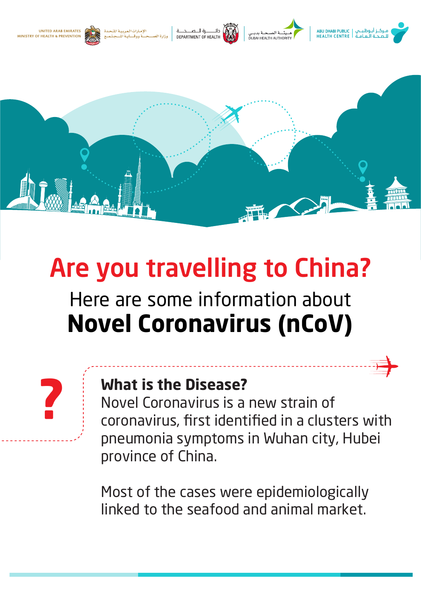

# Are you travelling to China?

## Here are some information about **Novel Coronavirus (nCoV)**

#### **What is the Disease?**

**؟**

Novel Coronavirus is a new strain of coronavirus, first identified in a clusters with pneumonia symptoms in Wuhan city, Hubei province of China.

Most of the cases were epidemiologically linked to the seafood and animal market.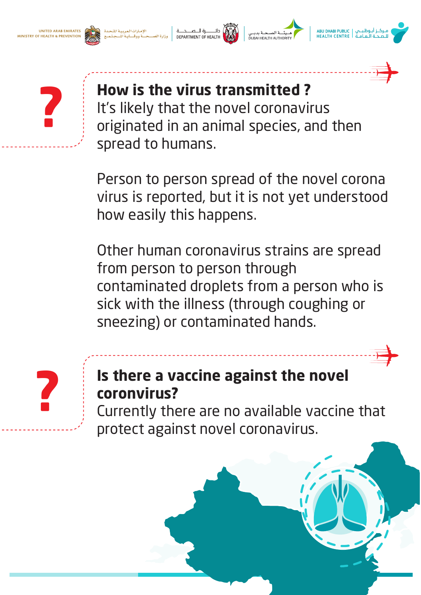UNITED ARAR EMIRATES **ISTRY OF HEALTH & PREVENTION** 







# **How is the virus transmitted ?**

It's likely that the novel coronavirus originated in an animal species, and then spread to humans.

Person to person spread of the novel corona virus is reported, but it is not yet understood how easily this happens.

Other human coronavirus strains are spread from person to person through contaminated droplets from a person who is sick with the illness (through coughing or sneezing) or contaminated hands.



### **Is there a vaccine against the novel coronvirus?**

Currently there are no available vaccine that protect against novel coronavirus.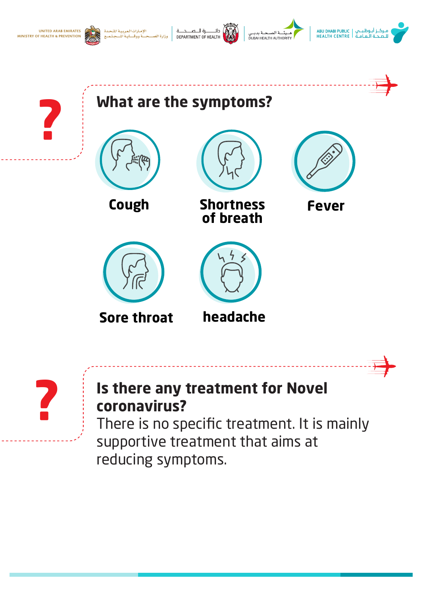









**؟**





#### **Is there any treatment for Novel coronavirus?**

There is no specific treatment. It is mainly supportive treatment that aims at reducing symptoms.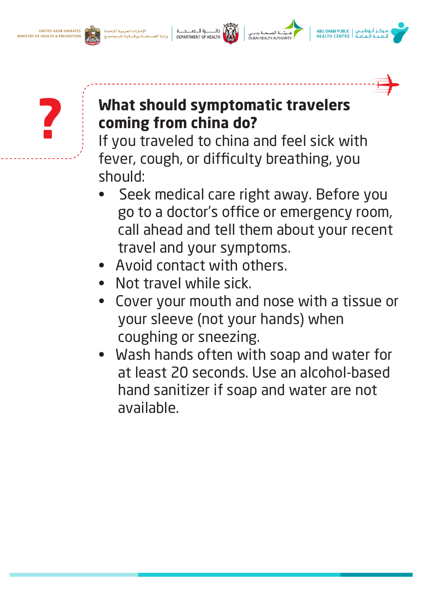





#### **What should symptomatic travelers coming from china do?**

If you traveled to china and feel sick with fever, cough, or difficulty breathing, you should:

- Seek medical care right away. Before you go to a doctor's office or emergency room, call ahead and tell them about your recent travel and your symptoms.
- Avoid contact with others.
- Not travel while sick.
- Cover your mouth and nose with a tissue or your sleeve (not your hands) when coughing or sneezing.
- Wash hands often with soap and water for at least 20 seconds. Use an alcohol-based hand sanitizer if soap and water are not available.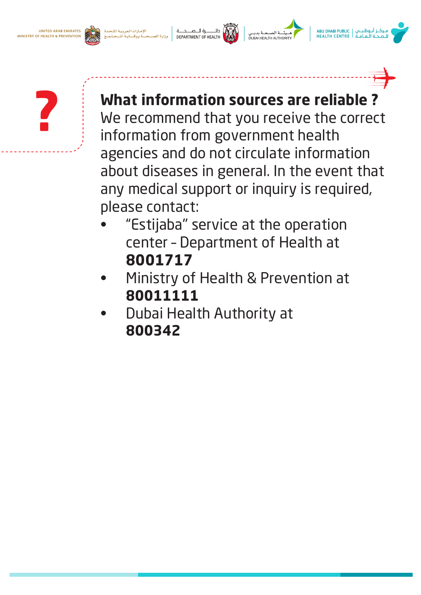**UNITED ARAB EMIRATES** MINISTRY OF HEALTH & PREVENTION



مـركــز أبـوظـبــي | ABU DHABI PUBLIC<br>للـصــحـة الـعـامـة HEALTH CENTRE



**? What information sources are reliable ?**<br>We recommend that you receive the correct information from government health agencies and do not circulate information about diseases in general. In the event that any medical support or inquiry is required, please contact:

- "Estijaba" service at the operation center – Department of Health at **8001717**
- Ministry of Health & Prevention at **80011111**
- Dubai Health Authority at  **800342**